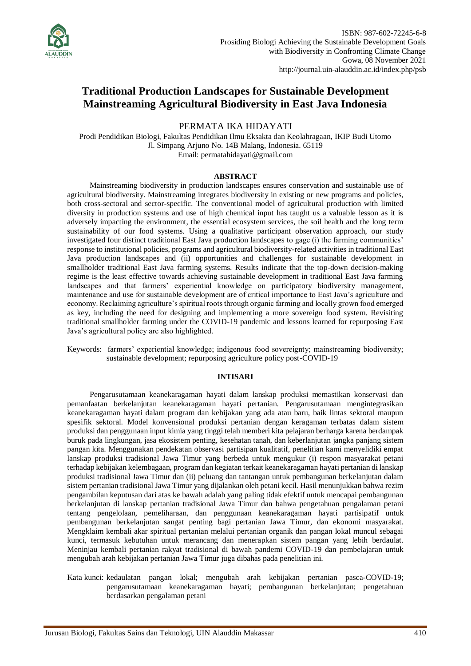

# **Traditional Production Landscapes for Sustainable Development Mainstreaming Agricultural Biodiversity in East Java Indonesia**

PERMATA IKA HIDAYATI

Prodi Pendidikan Biologi, Fakultas Pendidikan Ilmu Eksakta dan Keolahragaan, IKIP Budi Utomo Jl. Simpang Arjuno No. 14B Malang, Indonesia. 65119 Email: permatahidayati@gmail.com

#### **ABSTRACT**

Mainstreaming biodiversity in production landscapes ensures conservation and sustainable use of agricultural biodiversity. Mainstreaming integrates biodiversity in existing or new programs and policies, both cross-sectoral and sector-specific. The conventional model of agricultural production with limited diversity in production systems and use of high chemical input has taught us a valuable lesson as it is adversely impacting the environment, the essential ecosystem services, the soil health and the long term sustainability of our food systems. Using a qualitative participant observation approach, our study investigated four distinct traditional East Java production landscapes to gage (i) the farming communities' response to institutional policies, programs and agricultural biodiversity-related activities in traditional East Java production landscapes and (ii) opportunities and challenges for sustainable development in smallholder traditional East Java farming systems. Results indicate that the top-down decision-making regime is the least effective towards achieving sustainable development in traditional East Java farming landscapes and that farmers' experiential knowledge on participatory biodiversity management, maintenance and use for sustainable development are of critical importance to East Java's agriculture and economy. Reclaiming agriculture's spiritual roots through organic farming and locally grown food emerged as key, including the need for designing and implementing a more sovereign food system. Revisiting traditional smallholder farming under the COVID-19 pandemic and lessons learned for repurposing East Java's agricultural policy are also highlighted.

Keywords: farmers' experiential knowledge; indigenous food sovereignty; mainstreaming biodiversity; sustainable development; repurposing agriculture policy post-COVID-19

#### **INTISARI**

Pengarusutamaan keanekaragaman hayati dalam lanskap produksi memastikan konservasi dan pemanfaatan berkelanjutan keanekaragaman hayati pertanian. Pengarusutamaan mengintegrasikan keanekaragaman hayati dalam program dan kebijakan yang ada atau baru, baik lintas sektoral maupun spesifik sektoral. Model konvensional produksi pertanian dengan keragaman terbatas dalam sistem produksi dan penggunaan input kimia yang tinggi telah memberi kita pelajaran berharga karena berdampak buruk pada lingkungan, jasa ekosistem penting, kesehatan tanah, dan keberlanjutan jangka panjang sistem pangan kita. Menggunakan pendekatan observasi partisipan kualitatif, penelitian kami menyelidiki empat lanskap produksi tradisional Jawa Timur yang berbeda untuk mengukur (i) respon masyarakat petani terhadap kebijakan kelembagaan, program dan kegiatan terkait keanekaragaman hayati pertanian di lanskap produksi tradisional Jawa Timur dan (ii) peluang dan tantangan untuk pembangunan berkelanjutan dalam sistem pertanian tradisional Jawa Timur yang dijalankan oleh petani kecil. Hasil menunjukkan bahwa rezim pengambilan keputusan dari atas ke bawah adalah yang paling tidak efektif untuk mencapai pembangunan berkelanjutan di lanskap pertanian tradisional Jawa Timur dan bahwa pengetahuan pengalaman petani tentang pengelolaan, pemeliharaan, dan penggunaan keanekaragaman hayati partisipatif untuk pembangunan berkelanjutan sangat penting bagi pertanian Jawa Timur, dan ekonomi masyarakat. Mengklaim kembali akar spiritual pertanian melalui pertanian organik dan pangan lokal muncul sebagai kunci, termasuk kebutuhan untuk merancang dan menerapkan sistem pangan yang lebih berdaulat. Meninjau kembali pertanian rakyat tradisional di bawah pandemi COVID-19 dan pembelajaran untuk mengubah arah kebijakan pertanian Jawa Timur juga dibahas pada penelitian ini.

Kata kunci: kedaulatan pangan lokal; mengubah arah kebijakan pertanian pasca-COVID-19; pengarusutamaan keanekaragaman hayati; pembangunan berkelanjutan; pengetahuan berdasarkan pengalaman petani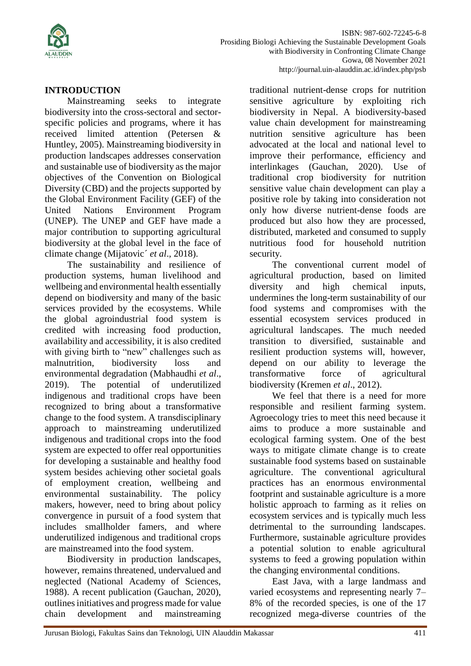

### **INTRODUCTION**

Mainstreaming seeks to integrate biodiversity into the cross-sectoral and sectorspecific policies and programs, where it has received limited attention (Petersen & Huntley, 2005). Mainstreaming biodiversity in production landscapes addresses conservation and sustainable use of biodiversity as the major objectives of the Convention on Biological Diversity (CBD) and the projects supported by the Global Environment Facility (GEF) of the United Nations Environment Program (UNEP). The UNEP and GEF have made a major contribution to supporting agricultural biodiversity at the global level in the face of climate change (Mijatovic´ *et al*., 2018).

The sustainability and resilience of production systems, human livelihood and wellbeing and environmental health essentially depend on biodiversity and many of the basic services provided by the ecosystems. While the global agroindustrial food system is credited with increasing food production, availability and accessibility, it is also credited with giving birth to "new" challenges such as malnutrition, biodiversity loss and environmental degradation (Mabhaudhi *et al*., 2019). The potential of underutilized indigenous and traditional crops have been recognized to bring about a transformative change to the food system. A transdisciplinary approach to mainstreaming underutilized indigenous and traditional crops into the food system are expected to offer real opportunities for developing a sustainable and healthy food system besides achieving other societal goals of employment creation, wellbeing and environmental sustainability. The policy makers, however, need to bring about policy convergence in pursuit of a food system that includes smallholder famers, and where underutilized indigenous and traditional crops are mainstreamed into the food system.

Biodiversity in production landscapes, however, remains threatened, undervalued and neglected (National Academy of Sciences, 1988). A recent publication (Gauchan, 2020), outlines initiatives and progress made for value chain development and mainstreaming traditional nutrient-dense crops for nutrition sensitive agriculture by exploiting rich biodiversity in Nepal. A biodiversity-based value chain development for mainstreaming nutrition sensitive agriculture has been advocated at the local and national level to improve their performance, efficiency and interlinkages (Gauchan, 2020). Use of traditional crop biodiversity for nutrition sensitive value chain development can play a positive role by taking into consideration not only how diverse nutrient-dense foods are produced but also how they are processed, distributed, marketed and consumed to supply nutritious food for household nutrition security.

The conventional current model of agricultural production, based on limited diversity and high chemical inputs, undermines the long-term sustainability of our food systems and compromises with the essential ecosystem services produced in agricultural landscapes. The much needed transition to diversified, sustainable and resilient production systems will, however, depend on our ability to leverage the transformative force of agricultural biodiversity (Kremen *et al*., 2012).

We feel that there is a need for more responsible and resilient farming system. Agroecology tries to meet this need because it aims to produce a more sustainable and ecological farming system. One of the best ways to mitigate climate change is to create sustainable food systems based on sustainable agriculture. The conventional agricultural practices has an enormous environmental footprint and sustainable agriculture is a more holistic approach to farming as it relies on ecosystem services and is typically much less detrimental to the surrounding landscapes. Furthermore, sustainable agriculture provides a potential solution to enable agricultural systems to feed a growing population within the changing environmental conditions.

East Java, with a large landmass and varied ecosystems and representing nearly 7– 8% of the recorded species, is one of the 17 recognized mega-diverse countries of the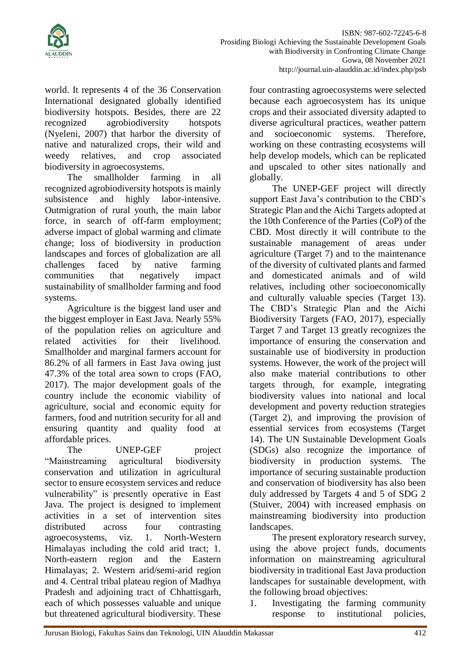

world. It represents 4 of the 36 Conservation International designated globally identified biodiversity hotspots. Besides, there are 22 recognized agrobiodiversity hotspots (Nyeleni, 2007) that harbor the diversity of native and naturalized crops, their wild and weedy relatives, and crop associated biodiversity in agroecosystems.

The smallholder farming in all recognized agrobiodiversity hotspots is mainly subsistence and highly labor-intensive. Outmigration of rural youth, the main labor force, in search of off-farm employment; adverse impact of global warming and climate change; loss of biodiversity in production landscapes and forces of globalization are all challenges faced by native farming communities that negatively impact sustainability of smallholder farming and food systems.

Agriculture is the biggest land user and the biggest employer in East Java. Nearly 55% of the population relies on agriculture and related activities for their livelihood. Smallholder and marginal farmers account for 86.2% of all farmers in East Java owing just 47.3% of the total area sown to crops (FAO, 2017). The major development goals of the country include the economic viability of agriculture, social and economic equity for farmers, food and nutrition security for all and ensuring quantity and quality food at affordable prices.

The UNEP-GEF project "Mainstreaming agricultural biodiversity conservation and utilization in agricultural sector to ensure ecosystem services and reduce vulnerability" is presently operative in East Java. The project is designed to implement activities in a set of intervention sites distributed across four contrasting agroecosystems, viz. 1. North-Western Himalayas including the cold arid tract; 1. North-eastern region and the Eastern Himalayas; 2. Western arid/semi-arid region and 4. Central tribal plateau region of Madhya Pradesh and adjoining tract of Chhattisgarh, each of which possesses valuable and unique but threatened agricultural biodiversity. These

four contrasting agroecosystems were selected because each agroecosystem has its unique crops and their associated diversity adapted to diverse agricultural practices, weather pattern and socioeconomic systems. Therefore, working on these contrasting ecosystems will help develop models, which can be replicated and upscaled to other sites nationally and globally.

The UNEP-GEF project will directly support East Java's contribution to the CBD's Strategic Plan and the Aichi Targets adopted at the 10th Conference of the Parties (CoP) of the CBD. Most directly it will contribute to the sustainable management of areas under agriculture (Target 7) and to the maintenance of the diversity of cultivated plants and farmed and domesticated animals and of wild relatives, including other socioeconomically and culturally valuable species (Target 13). The CBD's Strategic Plan and the Aichi Biodiversity Targets (FAO, 2017), especially Target 7 and Target 13 greatly recognizes the importance of ensuring the conservation and sustainable use of biodiversity in production systems. However, the work of the project will also make material contributions to other targets through, for example, integrating biodiversity values into national and local development and poverty reduction strategies (Target 2), and improving the provision of essential services from ecosystems (Target 14). The UN Sustainable Development Goals (SDGs) also recognize the importance of biodiversity in production systems. The importance of securing sustainable production and conservation of biodiversity has also been duly addressed by Targets 4 and 5 of SDG 2 (Stuiver, 2004) with increased emphasis on mainstreaming biodiversity into production landscapes.

The present exploratory research survey, using the above project funds, documents information on mainstreaming agricultural biodiversity in traditional East Java production landscapes for sustainable development, with the following broad objectives:

1. Investigating the farming community response to institutional policies,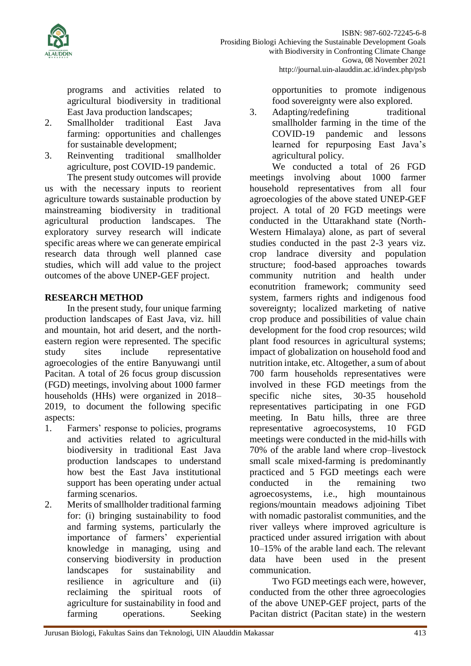

programs and activities related to agricultural biodiversity in traditional East Java production landscapes;

- 2. Smallholder traditional East Java farming: opportunities and challenges for sustainable development;
- 3. Reinventing traditional smallholder agriculture, post COVID-19 pandemic. The present study outcomes will provide

us with the necessary inputs to reorient agriculture towards sustainable production by mainstreaming biodiversity in traditional agricultural production landscapes. The exploratory survey research will indicate specific areas where we can generate empirical research data through well planned case studies, which will add value to the project outcomes of the above UNEP-GEF project.

### **RESEARCH METHOD**

In the present study, four unique farming production landscapes of East Java, viz. hill and mountain, hot arid desert, and the northeastern region were represented. The specific study sites include representative agroecologies of the entire Banyuwangi until Pacitan. A total of 26 focus group discussion (FGD) meetings, involving about 1000 farmer households (HHs) were organized in 2018– 2019, to document the following specific aspects:

- 1. Farmers' response to policies, programs and activities related to agricultural biodiversity in traditional East Java production landscapes to understand how best the East Java institutional support has been operating under actual farming scenarios.
- 2. Merits of smallholder traditional farming for: (i) bringing sustainability to food and farming systems, particularly the importance of farmers' experiential knowledge in managing, using and conserving biodiversity in production landscapes for sustainability and resilience in agriculture and (ii) reclaiming the spiritual roots of agriculture for sustainability in food and farming operations. Seeking

opportunities to promote indigenous food sovereignty were also explored.

3. Adapting/redefining traditional smallholder farming in the time of the COVID-19 pandemic and lessons learned for repurposing East Java's agricultural policy.

We conducted a total of 26 FGD meetings involving about 1000 farmer household representatives from all four agroecologies of the above stated UNEP-GEF project. A total of 20 FGD meetings were conducted in the Uttarakhand state (North-Western Himalaya) alone, as part of several studies conducted in the past 2-3 years viz. crop landrace diversity and population structure; food-based approaches towards community nutrition and health under econutrition framework; community seed system, farmers rights and indigenous food sovereignty; localized marketing of native crop produce and possibilities of value chain development for the food crop resources; wild plant food resources in agricultural systems; impact of globalization on household food and nutrition intake, etc. Altogether, a sum of about 700 farm households representatives were involved in these FGD meetings from the specific niche sites, 30-35 household representatives participating in one FGD meeting. In Batu hills, three are three representative agroecosystems, 10 FGD meetings were conducted in the mid-hills with 70% of the arable land where crop–livestock small scale mixed-farming is predominantly practiced and 5 FGD meetings each were conducted in the remaining two agroecosystems, i.e., high mountainous regions/mountain meadows adjoining Tibet with nomadic pastoralist communities, and the river valleys where improved agriculture is practiced under assured irrigation with about 10–15% of the arable land each. The relevant data have been used in the present communication.

Two FGD meetings each were, however, conducted from the other three agroecologies of the above UNEP-GEF project, parts of the Pacitan district (Pacitan state) in the western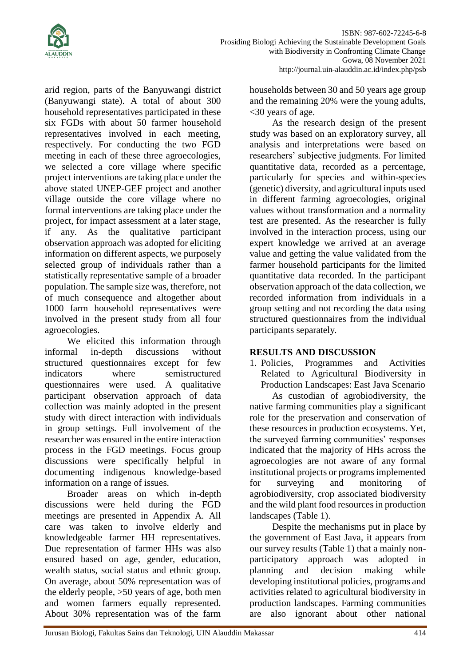

arid region, parts of the Banyuwangi district (Banyuwangi state). A total of about 300 household representatives participated in these six FGDs with about 50 farmer household representatives involved in each meeting, respectively. For conducting the two FGD meeting in each of these three agroecologies, we selected a core village where specific project interventions are taking place under the above stated UNEP-GEF project and another village outside the core village where no formal interventions are taking place under the project, for impact assessment at a later stage, if any. As the qualitative participant observation approach was adopted for eliciting information on different aspects, we purposely selected group of individuals rather than a statistically representative sample of a broader population. The sample size was, therefore, not of much consequence and altogether about 1000 farm household representatives were involved in the present study from all four agroecologies.

We elicited this information through informal in-depth discussions without structured questionnaires except for few indicators where semistructured questionnaires were used. A qualitative participant observation approach of data collection was mainly adopted in the present study with direct interaction with individuals in group settings. Full involvement of the researcher was ensured in the entire interaction process in the FGD meetings. Focus group discussions were specifically helpful in documenting indigenous knowledge-based information on a range of issues.

Broader areas on which in-depth discussions were held during the FGD meetings are presented in Appendix A. All care was taken to involve elderly and knowledgeable farmer HH representatives. Due representation of farmer HHs was also ensured based on age, gender, education, wealth status, social status and ethnic group. On average, about 50% representation was of the elderly people, >50 years of age, both men and women farmers equally represented. About 30% representation was of the farm

households between 30 and 50 years age group and the remaining 20% were the young adults, <30 years of age.

As the research design of the present study was based on an exploratory survey, all analysis and interpretations were based on researchers' subjective judgments. For limited quantitative data, recorded as a percentage, particularly for species and within-species (genetic) diversity, and agricultural inputs used in different farming agroecologies, original values without transformation and a normality test are presented. As the researcher is fully involved in the interaction process, using our expert knowledge we arrived at an average value and getting the value validated from the farmer household participants for the limited quantitative data recorded. In the participant observation approach of the data collection, we recorded information from individuals in a group setting and not recording the data using structured questionnaires from the individual participants separately.

## **RESULTS AND DISCUSSION**

1. Policies, Programmes and Activities Related to Agricultural Biodiversity in Production Landscapes: East Java Scenario

As custodian of agrobiodiversity, the native farming communities play a significant role for the preservation and conservation of these resources in production ecosystems. Yet, the surveyed farming communities' responses indicated that the majority of HHs across the agroecologies are not aware of any formal institutional projects or programs implemented for surveying and monitoring of agrobiodiversity, crop associated biodiversity and the wild plant food resources in production landscapes (Table 1).

Despite the mechanisms put in place by the government of East Java, it appears from our survey results (Table 1) that a mainly nonparticipatory approach was adopted in planning and decision making while developing institutional policies, programs and activities related to agricultural biodiversity in production landscapes. Farming communities are also ignorant about other national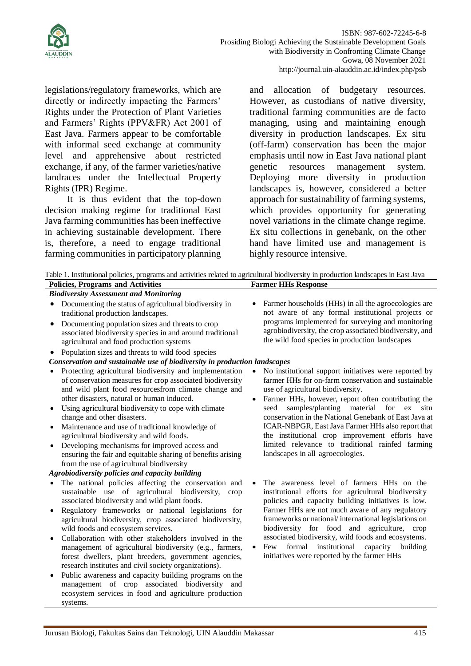

legislations/regulatory frameworks, which are directly or indirectly impacting the Farmers' Rights under the Protection of Plant Varieties and Farmers' Rights (PPV&FR) Act 2001 of East Java. Farmers appear to be comfortable with informal seed exchange at community level and apprehensive about restricted exchange, if any, of the farmer varieties/native landraces under the Intellectual Property Rights (IPR) Regime.

It is thus evident that the top-down decision making regime for traditional East Java farming communities has been ineffective in achieving sustainable development. There is, therefore, a need to engage traditional farming communities in participatory planning and allocation of budgetary resources. However, as custodians of native diversity, traditional farming communities are de facto managing, using and maintaining enough diversity in production landscapes. Ex situ (off-farm) conservation has been the major emphasis until now in East Java national plant genetic resources management system. Deploying more diversity in production landscapes is, however, considered a better approach for sustainability of farming systems, which provides opportunity for generating novel variations in the climate change regime. Ex situ collections in genebank, on the other hand have limited use and management is highly resource intensive.

| Table 1. Institutional policies, programs and activities related to agricultural biodiversity in production landscapes in East Java                                                                                                                                                                                                                                                                                                                                                                                                                                                                                                                         |                                                                                                                                                                                                                                                                                                                                                                                                                                                                                                                               |  |  |  |  |  |  |
|-------------------------------------------------------------------------------------------------------------------------------------------------------------------------------------------------------------------------------------------------------------------------------------------------------------------------------------------------------------------------------------------------------------------------------------------------------------------------------------------------------------------------------------------------------------------------------------------------------------------------------------------------------------|-------------------------------------------------------------------------------------------------------------------------------------------------------------------------------------------------------------------------------------------------------------------------------------------------------------------------------------------------------------------------------------------------------------------------------------------------------------------------------------------------------------------------------|--|--|--|--|--|--|
| <b>Policies, Programs and Activities</b>                                                                                                                                                                                                                                                                                                                                                                                                                                                                                                                                                                                                                    | <b>Farmer HHs Response</b>                                                                                                                                                                                                                                                                                                                                                                                                                                                                                                    |  |  |  |  |  |  |
| <b>Biodiversity Assessment and Monitoring</b>                                                                                                                                                                                                                                                                                                                                                                                                                                                                                                                                                                                                               |                                                                                                                                                                                                                                                                                                                                                                                                                                                                                                                               |  |  |  |  |  |  |
| Documenting the status of agricultural biodiversity in<br>$\bullet$<br>traditional production landscapes.<br>Documenting population sizes and threats to crop<br>$\bullet$<br>associated biodiversity species in and around traditional<br>agricultural and food production systems                                                                                                                                                                                                                                                                                                                                                                         | Farmer households (HHs) in all the agroecologies are<br>not aware of any formal institutional projects or<br>programs implemented for surveying and monitoring<br>agrobiodiversity, the crop associated biodiversity, and<br>the wild food species in production landscapes                                                                                                                                                                                                                                                   |  |  |  |  |  |  |
| Population sizes and threats to wild food species<br>٠                                                                                                                                                                                                                                                                                                                                                                                                                                                                                                                                                                                                      |                                                                                                                                                                                                                                                                                                                                                                                                                                                                                                                               |  |  |  |  |  |  |
| Conservation and sustainable use of biodiversity in production landscapes                                                                                                                                                                                                                                                                                                                                                                                                                                                                                                                                                                                   |                                                                                                                                                                                                                                                                                                                                                                                                                                                                                                                               |  |  |  |  |  |  |
| Protecting agricultural biodiversity and implementation<br>$\bullet$<br>of conservation measures for crop associated biodiversity<br>and wild plant food resourcesfrom climate change and<br>other disasters, natural or human induced.<br>Using agricultural biodiversity to cope with climate<br>change and other disasters.<br>Maintenance and use of traditional knowledge of<br>agricultural biodiversity and wild foods.<br>Developing mechanisms for improved access and<br>$\bullet$<br>ensuring the fair and equitable sharing of benefits arising<br>from the use of agricultural biodiversity<br>Agrobiodiversity policies and capacity building | No institutional support initiatives were reported by<br>farmer HHs for on-farm conservation and sustainable<br>use of agricultural biodiversity.<br>Farmer HHs, however, report often contributing the<br>samples/planting<br>material<br>seed<br>for<br>ex<br>situ<br>conservation in the National Genebank of East Java at<br>ICAR-NBPGR, East Java Farmer HHs also report that<br>the institutional crop improvement efforts have<br>limited relevance to traditional rainfed farming<br>landscapes in all agroecologies. |  |  |  |  |  |  |
| The national policies affecting the conservation and<br>sustainable use of agricultural biodiversity,<br>crop<br>associated biodiversity and wild plant foods.<br>Regulatory frameworks or national legislations for<br>agricultural biodiversity, crop associated biodiversity,<br>wild foods and ecosystem services.<br>Collaboration with other stakeholders involved in the<br>$\bullet$<br>management of agricultural biodiversity (e.g., farmers,<br>forest dwellers, plant breeders, government agencies,                                                                                                                                            | The awareness level of farmers HHs on the<br>institutional efforts for agricultural biodiversity<br>policies and capacity building initiatives is low.<br>Farmer HHs are not much aware of any regulatory<br>frameworks or national/international legislations on<br>biodiversity for food and agriculture, crop<br>associated biodiversity, wild foods and ecosystems.<br>formal institutional<br>capacity building<br>Few<br>$\bullet$<br>initiatives were reported by the farmer HHs                                       |  |  |  |  |  |  |
| research institutes and civil society organizations).<br>Public awareness and capacity building programs on the                                                                                                                                                                                                                                                                                                                                                                                                                                                                                                                                             |                                                                                                                                                                                                                                                                                                                                                                                                                                                                                                                               |  |  |  |  |  |  |

• Public awareness and capacity building programs on the management of crop associated biodiversity and ecosystem services in food and agriculture production systems.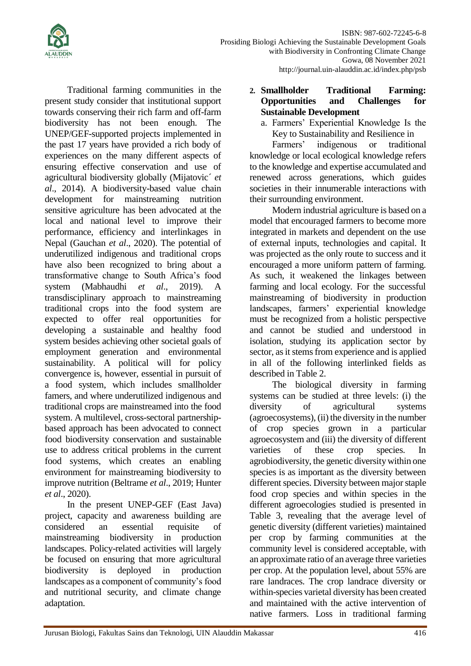

Traditional farming communities in the present study consider that institutional support towards conserving their rich farm and off-farm biodiversity has not been enough. The UNEP/GEF-supported projects implemented in the past 17 years have provided a rich body of experiences on the many different aspects of ensuring effective conservation and use of agricultural biodiversity globally (Mijatovic´ *et al*., 2014). A biodiversity-based value chain development for mainstreaming nutrition sensitive agriculture has been advocated at the local and national level to improve their performance, efficiency and interlinkages in Nepal (Gauchan *et al*., 2020). The potential of underutilized indigenous and traditional crops have also been recognized to bring about a transformative change to South Africa's food system (Mabhaudhi *et al*., 2019). A transdisciplinary approach to mainstreaming traditional crops into the food system are expected to offer real opportunities for developing a sustainable and healthy food system besides achieving other societal goals of employment generation and environmental sustainability. A political will for policy convergence is, however, essential in pursuit of a food system, which includes smallholder famers, and where underutilized indigenous and traditional crops are mainstreamed into the food system. A multilevel, cross-sectoral partnershipbased approach has been advocated to connect food biodiversity conservation and sustainable use to address critical problems in the current food systems, which creates an enabling environment for mainstreaming biodiversity to improve nutrition (Beltrame *et al*., 2019; Hunter *et al*., 2020).

In the present UNEP-GEF (East Java) project, capacity and awareness building are considered an essential requisite of mainstreaming biodiversity in production landscapes. Policy-related activities will largely be focused on ensuring that more agricultural biodiversity is deployed in production landscapes as a component of community's food and nutritional security, and climate change adaptation.

- **2. Smallholder Traditional Farming: Opportunities and Challenges for Sustainable Development**
	- a. Farmers' Experiential Knowledge Is the Key to Sustainability and Resilience in

Farmers' indigenous or traditional knowledge or local ecological knowledge refers to the knowledge and expertise accumulated and renewed across generations, which guides societies in their innumerable interactions with their surrounding environment.

Modern industrial agriculture is based on a model that encouraged farmers to become more integrated in markets and dependent on the use of external inputs, technologies and capital. It was projected as the only route to success and it encouraged a more uniform pattern of farming. As such, it weakened the linkages between farming and local ecology. For the successful mainstreaming of biodiversity in production landscapes, farmers' experiential knowledge must be recognized from a holistic perspective and cannot be studied and understood in isolation, studying its application sector by sector, as it stems from experience and is applied in all of the following interlinked fields as described in Table 2.

The biological diversity in farming systems can be studied at three levels: (i) the diversity of agricultural systems (agroecosystems), (ii) the diversity in the number of crop species grown in a particular agroecosystem and (iii) the diversity of different varieties of these crop species. In agrobiodiversity, the genetic diversity within one species is as important as the diversity between different species. Diversity between major staple food crop species and within species in the different agroecologies studied is presented in Table 3, revealing that the average level of genetic diversity (different varieties) maintained per crop by farming communities at the community level is considered acceptable, with an approximate ratio of an average three varieties per crop. At the population level, about 55% are rare landraces. The crop landrace diversity or within-species varietal diversity has been created and maintained with the active intervention of native farmers. Loss in traditional farming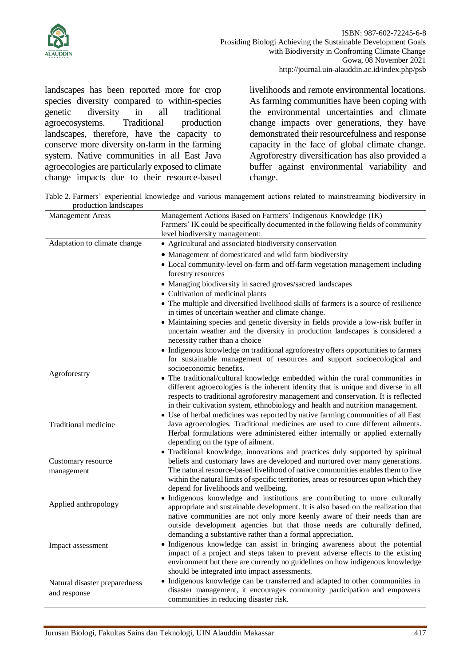

landscapes has been reported more for crop species diversity compared to within-species genetic diversity in all traditional agroecosystems. Traditional production landscapes, therefore, have the capacity to conserve more diversity on-farm in the farming system. Native communities in all East Java agroecologies are particularly exposed to climate change impacts due to their resource-based livelihoods and remote environmental locations. As farming communities have been coping with the environmental uncertainties and climate change impacts over generations, they have demonstrated their resourcefulness and response capacity in the face of global climate change. Agroforestry diversification has also provided a buffer against environmental variability and change.

Table 2. Farmers' experiential knowledge and various management actions related to mainstreaming biodiversity in production landscapes

| Management Areas                              | Management Actions Based on Farmers' Indigenous Knowledge (IK)<br>Farmers' IK could be specifically documented in the following fields of community<br>level biodiversity management:                                                                                                                                                                                                    |  |  |
|-----------------------------------------------|------------------------------------------------------------------------------------------------------------------------------------------------------------------------------------------------------------------------------------------------------------------------------------------------------------------------------------------------------------------------------------------|--|--|
| Adaptation to climate change                  | • Agricultural and associated biodiversity conservation                                                                                                                                                                                                                                                                                                                                  |  |  |
|                                               | • Management of domesticated and wild farm biodiversity                                                                                                                                                                                                                                                                                                                                  |  |  |
|                                               | • Local community-level on-farm and off-farm vegetation management including<br>forestry resources                                                                                                                                                                                                                                                                                       |  |  |
|                                               | • Managing biodiversity in sacred groves/sacred landscapes                                                                                                                                                                                                                                                                                                                               |  |  |
|                                               | • Cultivation of medicinal plants                                                                                                                                                                                                                                                                                                                                                        |  |  |
|                                               | • The multiple and diversified livelihood skills of farmers is a source of resilience<br>in times of uncertain weather and climate change.                                                                                                                                                                                                                                               |  |  |
|                                               | • Maintaining species and genetic diversity in fields provide a low-risk buffer in<br>uncertain weather and the diversity in production landscapes is considered a<br>necessity rather than a choice                                                                                                                                                                                     |  |  |
|                                               | • Indigenous knowledge on traditional agroforestry offers opportunities to farmers<br>for sustainable management of resources and support socioecological and<br>socioeconomic benefits.                                                                                                                                                                                                 |  |  |
| Agroforestry                                  | • The traditional/cultural knowledge embedded within the rural communities in<br>different agroecologies is the inherent identity that is unique and diverse in all<br>respects to traditional agroforestry management and conservation. It is reflected<br>in their cultivation system, ethnobiology and health and nutrition management.                                               |  |  |
| <b>Traditional medicine</b>                   | • Use of herbal medicines was reported by native farming communities of all East<br>Java agroecologies. Traditional medicines are used to cure different ailments.<br>Herbal formulations were administered either internally or applied externally<br>depending on the type of ailment.                                                                                                 |  |  |
| Customary resource<br>management              | • Traditional knowledge, innovations and practices duly supported by spiritual<br>beliefs and customary laws are developed and nurtured over many generations.<br>The natural resource-based livelihood of native communities enables them to live<br>within the natural limits of specific territories, areas or resources upon which they<br>depend for livelihoods and wellbeing.     |  |  |
| Applied anthropology                          | • Indigenous knowledge and institutions are contributing to more culturally<br>appropriate and sustainable development. It is also based on the realization that<br>native communities are not only more keenly aware of their needs than are<br>outside development agencies but that those needs are culturally defined,<br>demanding a substantive rather than a formal appreciation. |  |  |
| Impact assessment                             | • Indigenous knowledge can assist in bringing awareness about the potential<br>impact of a project and steps taken to prevent adverse effects to the existing<br>environment but there are currently no guidelines on how indigenous knowledge<br>should be integrated into impact assessments.                                                                                          |  |  |
| Natural disaster preparedness<br>and response | • Indigenous knowledge can be transferred and adapted to other communities in<br>disaster management, it encourages community participation and empowers<br>communities in reducing disaster risk.                                                                                                                                                                                       |  |  |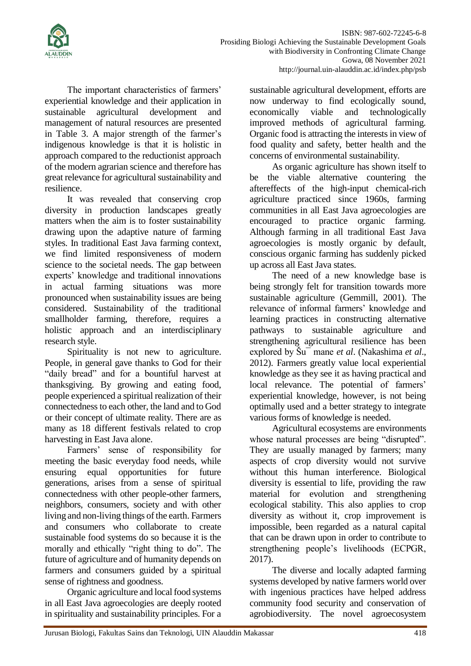

The important characteristics of farmers' experiential knowledge and their application in sustainable agricultural development and management of natural resources are presented in Table 3. A major strength of the farmer's indigenous knowledge is that it is holistic in approach compared to the reductionist approach of the modern agrarian science and therefore has great relevance for agricultural sustainability and resilience.

It was revealed that conserving crop diversity in production landscapes greatly matters when the aim is to foster sustainability drawing upon the adaptive nature of farming styles. In traditional East Java farming context, we find limited responsiveness of modern science to the societal needs. The gap between experts' knowledge and traditional innovations in actual farming situations was more pronounced when sustainability issues are being considered. Sustainability of the traditional smallholder farming, therefore, requires a holistic approach and an interdisciplinary research style.

Spirituality is not new to agriculture. People, in general gave thanks to God for their "daily bread" and for a bountiful harvest at thanksgiving. By growing and eating food, people experienced a spiritual realization of their connectedness to each other, the land and to God or their concept of ultimate reality. There are as many as 18 different festivals related to crop harvesting in East Java alone.

Farmers' sense of responsibility for meeting the basic everyday food needs, while ensuring equal opportunities for future generations, arises from a sense of spiritual connectedness with other people-other farmers, neighbors, consumers, society and with other living and non-living things of the earth. Farmers and consumers who collaborate to create sustainable food systems do so because it is the morally and ethically "right thing to do". The future of agriculture and of humanity depends on farmers and consumers guided by a spiritual sense of rightness and goodness.

Organic agriculture and local food systems in all East Java agroecologies are deeply rooted in spirituality and sustainability principles. For a

sustainable agricultural development, efforts are now underway to find ecologically sound, economically viable and technologically improved methods of agricultural farming. Organic food is attracting the interests in view of food quality and safety, better health and the concerns of environmental sustainability.

As organic agriculture has shown itself to be the viable alternative countering the aftereffects of the high-input chemical-rich agriculture practiced since 1960s, farming communities in all East Java agroecologies are encouraged to practice organic farming. Although farming in all traditional East Java agroecologies is mostly organic by default, conscious organic farming has suddenly picked up across all East Java states.

The need of a new knowledge base is being strongly felt for transition towards more sustainable agriculture (Gemmill, 2001). The relevance of informal farmers' knowledge and learning practices in constructing alternative pathways to sustainable agriculture and strengthening agricultural resilience has been explored by Šu¯ mane *et al*. (Nakashima *et al*., 2012). Farmers greatly value local experiential knowledge as they see it as having practical and local relevance. The potential of farmers' experiential knowledge, however, is not being optimally used and a better strategy to integrate various forms of knowledge is needed.

Agricultural ecosystems are environments whose natural processes are being "disrupted". They are usually managed by farmers; many aspects of crop diversity would not survive without this human interference. Biological diversity is essential to life, providing the raw material for evolution and strengthening ecological stability. This also applies to crop diversity as without it, crop improvement is impossible, been regarded as a natural capital that can be drawn upon in order to contribute to strengthening people's livelihoods (ECPGR, 2017).

The diverse and locally adapted farming systems developed by native farmers world over with ingenious practices have helped address community food security and conservation of agrobiodiversity. The novel agroecosystem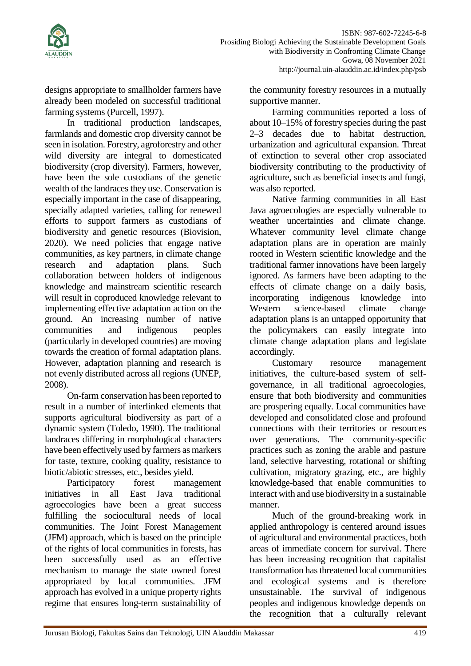

designs appropriate to smallholder farmers have already been modeled on successful traditional farming systems (Purcell, 1997).

In traditional production landscapes, farmlands and domestic crop diversity cannot be seen in isolation. Forestry, agroforestry and other wild diversity are integral to domesticated biodiversity (crop diversity). Farmers, however, have been the sole custodians of the genetic wealth of the landraces they use. Conservation is especially important in the case of disappearing, specially adapted varieties, calling for renewed efforts to support farmers as custodians of biodiversity and genetic resources (Biovision, 2020). We need policies that engage native communities, as key partners, in climate change research and adaptation plans. Such collaboration between holders of indigenous knowledge and mainstream scientific research will result in coproduced knowledge relevant to implementing effective adaptation action on the ground. An increasing number of native communities and indigenous peoples (particularly in developed countries) are moving towards the creation of formal adaptation plans. However, adaptation planning and research is not evenly distributed across all regions (UNEP, 2008).

On-farm conservation has been reported to result in a number of interlinked elements that supports agricultural biodiversity as part of a dynamic system (Toledo, 1990). The traditional landraces differing in morphological characters have been effectively used by farmers as markers for taste, texture, cooking quality, resistance to biotic/abiotic stresses, etc., besides yield.

Participatory forest management initiatives in all East Java traditional agroecologies have been a great success fulfilling the sociocultural needs of local communities. The Joint Forest Management (JFM) approach, which is based on the principle of the rights of local communities in forests, has been successfully used as an effective mechanism to manage the state owned forest appropriated by local communities. JFM approach has evolved in a unique property rights regime that ensures long-term sustainability of the community forestry resources in a mutually supportive manner.

Farming communities reported a loss of about 10–15% of forestry species during the past 2–3 decades due to habitat destruction, urbanization and agricultural expansion. Threat of extinction to several other crop associated biodiversity contributing to the productivity of agriculture, such as beneficial insects and fungi, was also reported.

Native farming communities in all East Java agroecologies are especially vulnerable to weather uncertainties and climate change. Whatever community level climate change adaptation plans are in operation are mainly rooted in Western scientific knowledge and the traditional farmer innovations have been largely ignored. As farmers have been adapting to the effects of climate change on a daily basis, incorporating indigenous knowledge into Western science-based climate change adaptation plans is an untapped opportunity that the policymakers can easily integrate into climate change adaptation plans and legislate accordingly.

Customary resource management initiatives, the culture-based system of selfgovernance, in all traditional agroecologies, ensure that both biodiversity and communities are prospering equally. Local communities have developed and consolidated close and profound connections with their territories or resources over generations. The community-specific practices such as zoning the arable and pasture land, selective harvesting, rotational or shifting cultivation, migratory grazing, etc., are highly knowledge-based that enable communities to interact with and use biodiversity in a sustainable manner.

Much of the ground-breaking work in applied anthropology is centered around issues of agricultural and environmental practices, both areas of immediate concern for survival. There has been increasing recognition that capitalist transformation has threatened local communities and ecological systems and is therefore unsustainable. The survival of indigenous peoples and indigenous knowledge depends on the recognition that a culturally relevant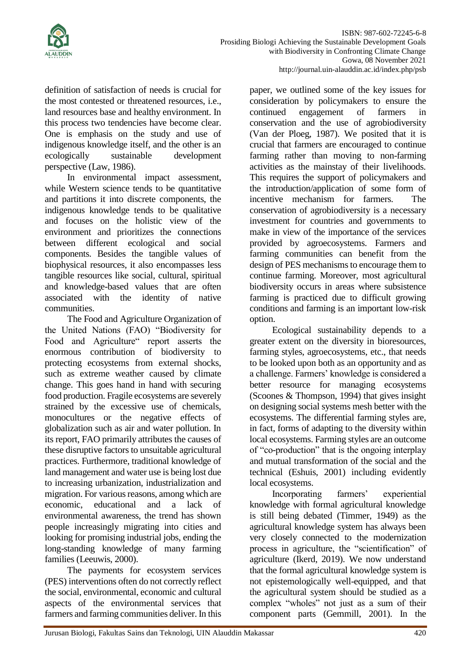

definition of satisfaction of needs is crucial for the most contested or threatened resources, i.e., land resources base and healthy environment. In this process two tendencies have become clear. One is emphasis on the study and use of indigenous knowledge itself, and the other is an ecologically sustainable development perspective (Law, 1986).

In environmental impact assessment, while Western science tends to be quantitative and partitions it into discrete components, the indigenous knowledge tends to be qualitative and focuses on the holistic view of the environment and prioritizes the connections between different ecological and social components. Besides the tangible values of biophysical resources, it also encompasses less tangible resources like social, cultural, spiritual and knowledge-based values that are often associated with the identity of native communities.

The Food and Agriculture Organization of the United Nations (FAO) "Biodiversity for Food and Agriculture" report asserts the enormous contribution of biodiversity to protecting ecosystems from external shocks, such as extreme weather caused by climate change. This goes hand in hand with securing food production. Fragile ecosystems are severely strained by the excessive use of chemicals, monocultures or the negative effects of globalization such as air and water pollution. In its report, FAO primarily attributes the causes of these disruptive factors to unsuitable agricultural practices. Furthermore, traditional knowledge of land management and water use is being lost due to increasing urbanization, industrialization and migration. For various reasons, among which are economic, educational and a lack of environmental awareness, the trend has shown people increasingly migrating into cities and looking for promising industrial jobs, ending the long-standing knowledge of many farming families (Leeuwis, 2000).

The payments for ecosystem services (PES) interventions often do not correctly reflect the social, environmental, economic and cultural aspects of the environmental services that farmers and farming communities deliver. In this

paper, we outlined some of the key issues for consideration by policymakers to ensure the continued engagement of farmers in conservation and the use of agrobiodiversity (Van der Ploeg, 1987). We posited that it is crucial that farmers are encouraged to continue farming rather than moving to non-farming activities as the mainstay of their livelihoods. This requires the support of policymakers and the introduction/application of some form of incentive mechanism for farmers. The conservation of agrobiodiversity is a necessary investment for countries and governments to make in view of the importance of the services provided by agroecosystems. Farmers and farming communities can benefit from the design of PES mechanisms to encourage them to continue farming. Moreover, most agricultural biodiversity occurs in areas where subsistence farming is practiced due to difficult growing conditions and farming is an important low-risk option.

Ecological sustainability depends to a greater extent on the diversity in bioresources, farming styles, agroecosystems, etc., that needs to be looked upon both as an opportunity and as a challenge. Farmers' knowledge is considered a better resource for managing ecosystems (Scoones & Thompson, 1994) that gives insight on designing social systems mesh better with the ecosystems. The differential farming styles are, in fact, forms of adapting to the diversity within local ecosystems. Farming styles are an outcome of "co-production" that is the ongoing interplay and mutual transformation of the social and the technical (Eshuis, 2001) including evidently local ecosystems.

Incorporating farmers' experiential knowledge with formal agricultural knowledge is still being debated (Timmer, 1949) as the agricultural knowledge system has always been very closely connected to the modernization process in agriculture, the "scientification" of agriculture (Ikerd, 2019). We now understand that the formal agricultural knowledge system is not epistemologically well-equipped, and that the agricultural system should be studied as a complex "wholes" not just as a sum of their component parts (Gemmill, 2001). In the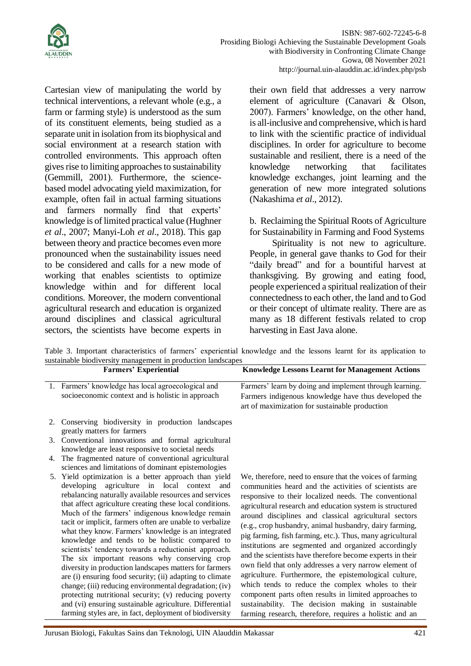

Cartesian view of manipulating the world by technical interventions, a relevant whole (e.g., a farm or farming style) is understood as the sum of its constituent elements, being studied as a separate unit in isolation from its biophysical and social environment at a research station with controlled environments. This approach often gives rise to limiting approaches to sustainability (Gemmill, 2001). Furthermore, the sciencebased model advocating yield maximization, for example, often fail in actual farming situations and farmers normally find that experts' knowledge is of limited practical value (Hughner *et al*., 2007; Manyi-Loh *et al*., 2018). This gap between theory and practice becomes even more pronounced when the sustainability issues need to be considered and calls for a new mode of working that enables scientists to optimize knowledge within and for different local conditions. Moreover, the modern conventional agricultural research and education is organized around disciplines and classical agricultural sectors, the scientists have become experts in

their own field that addresses a very narrow element of agriculture (Canavari & Olson, 2007). Farmers' knowledge, on the other hand, is all-inclusive and comprehensive, which is hard to link with the scientific practice of individual disciplines. In order for agriculture to become sustainable and resilient, there is a need of the knowledge networking that facilitates knowledge exchanges, joint learning and the generation of new more integrated solutions (Nakashima *et al*., 2012).

b. Reclaiming the Spiritual Roots of Agriculture for Sustainability in Farming and Food Systems

Spirituality is not new to agriculture. People, in general gave thanks to God for their "daily bread" and for a bountiful harvest at thanksgiving. By growing and eating food, people experienced a spiritual realization of their connectedness to each other, the land and to God or their concept of ultimate reality. There are as many as 18 different festivals related to crop harvesting in East Java alone.

Table 3. Important characteristics of farmers' experiential knowledge and the lessons learnt for its application to sustainable biodiversity management in production landscapes

| <b>Farmers' Experiential</b>                                                                                                                                                                                                                                                                                                                                                                                                                                                                                                                                                                                                                                                                                                                                                                                                                                                                                                    | <b>Knowledge Lessons Learnt for Management Actions</b>                                                                                                                                                                                                                                                                                                                                                                                                                                                                                                                                                                                                                                                                                                                                                                                                                                            |
|---------------------------------------------------------------------------------------------------------------------------------------------------------------------------------------------------------------------------------------------------------------------------------------------------------------------------------------------------------------------------------------------------------------------------------------------------------------------------------------------------------------------------------------------------------------------------------------------------------------------------------------------------------------------------------------------------------------------------------------------------------------------------------------------------------------------------------------------------------------------------------------------------------------------------------|---------------------------------------------------------------------------------------------------------------------------------------------------------------------------------------------------------------------------------------------------------------------------------------------------------------------------------------------------------------------------------------------------------------------------------------------------------------------------------------------------------------------------------------------------------------------------------------------------------------------------------------------------------------------------------------------------------------------------------------------------------------------------------------------------------------------------------------------------------------------------------------------------|
| 1. Farmers' knowledge has local agroecological and<br>socioeconomic context and is holistic in approach                                                                                                                                                                                                                                                                                                                                                                                                                                                                                                                                                                                                                                                                                                                                                                                                                         | Farmers' learn by doing and implement through learning.<br>Farmers indigenous knowledge have thus developed the<br>art of maximization for sustainable production                                                                                                                                                                                                                                                                                                                                                                                                                                                                                                                                                                                                                                                                                                                                 |
| 2. Conserving biodiversity in production landscapes<br>greatly matters for farmers<br>3. Conventional innovations and formal agricultural                                                                                                                                                                                                                                                                                                                                                                                                                                                                                                                                                                                                                                                                                                                                                                                       |                                                                                                                                                                                                                                                                                                                                                                                                                                                                                                                                                                                                                                                                                                                                                                                                                                                                                                   |
| knowledge are least responsive to societal needs<br>4. The fragmented nature of conventional agricultural<br>sciences and limitations of dominant epistemologies                                                                                                                                                                                                                                                                                                                                                                                                                                                                                                                                                                                                                                                                                                                                                                |                                                                                                                                                                                                                                                                                                                                                                                                                                                                                                                                                                                                                                                                                                                                                                                                                                                                                                   |
| 5. Yield optimization is a better approach than yield<br>developing agriculture in local context<br>and<br>rebalancing naturally available resources and services<br>that affect agriculture creating these local conditions.<br>Much of the farmers' indigenous knowledge remain<br>tacit or implicit, farmers often are unable to verbalize<br>what they know. Farmers' knowledge is an integrated<br>knowledge and tends to be holistic compared to<br>scientists' tendency towards a reductionist approach.<br>The six important reasons why conserving crop<br>diversity in production landscapes matters for farmers<br>are (i) ensuring food security; (ii) adapting to climate<br>change; (iii) reducing environmental degradation; (iv)<br>protecting nutritional security; (v) reducing poverty<br>and (vi) ensuring sustainable agriculture. Differential<br>farming styles are, in fact, deployment of biodiversity | We, therefore, need to ensure that the voices of farming<br>communities heard and the activities of scientists are<br>responsive to their localized needs. The conventional<br>agricultural research and education system is structured<br>around disciplines and classical agricultural sectors<br>(e.g., crop husbandry, animal husbandry, dairy farming,<br>pig farming, fish farming, etc.). Thus, many agricultural<br>institutions are segmented and organized accordingly<br>and the scientists have therefore become experts in their<br>own field that only addresses a very narrow element of<br>agriculture. Furthermore, the epistemological culture,<br>which tends to reduce the complex wholes to their<br>component parts often results in limited approaches to<br>sustainability. The decision making in sustainable<br>farming research, therefore, requires a holistic and an |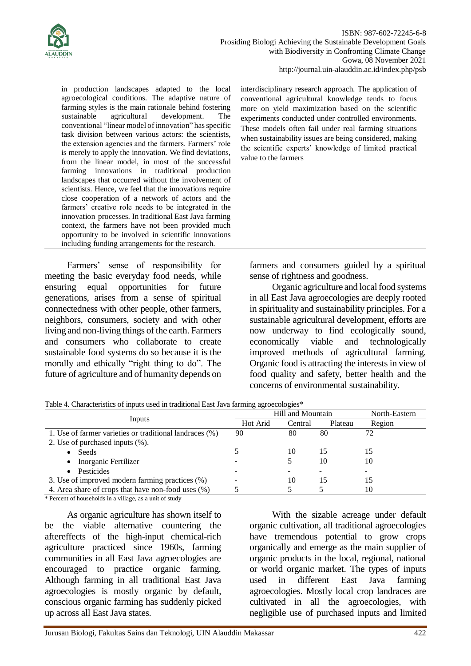

in production landscapes adapted to the local agroecological conditions. The adaptive nature of farming styles is the main rationale behind fostering sustainable agricultural development. The conventional "linear model of innovation" hasspecific task division between various actors: the scientists, the extension agencies and the farmers. Farmers' role is merely to apply the innovation. We find deviations, from the linear model, in most of the successful farming innovations in traditional production landscapes that occurred without the involvement of scientists. Hence, we feel that the innovations require close cooperation of a network of actors and the farmers' creative role needs to be integrated in the innovation processes. In traditional East Java farming context, the farmers have not been provided much opportunity to be involved in scientific innovations including funding arrangements for the research.

Farmers' sense of responsibility for meeting the basic everyday food needs, while ensuring equal opportunities for future generations, arises from a sense of spiritual connectedness with other people, other farmers, neighbors, consumers, society and with other living and non-living things of the earth. Farmers and consumers who collaborate to create sustainable food systems do so because it is the morally and ethically "right thing to do". The future of agriculture and of humanity depends on

interdisciplinary research approach. The application of conventional agricultural knowledge tends to focus more on yield maximization based on the scientific experiments conducted under controlled environments. These models often fail under real farming situations when sustainability issues are being considered, making the scientific experts' knowledge of limited practical value to the farmers

farmers and consumers guided by a spiritual sense of rightness and goodness.

Organic agriculture and local food systems in all East Java agroecologies are deeply rooted in spirituality and sustainability principles. For a sustainable agricultural development, efforts are now underway to find ecologically sound, economically viable and technologically improved methods of agricultural farming. Organic food is attracting the interests in view of food quality and safety, better health and the concerns of environmental sustainability.

|                                                         | Hill and Mountain |         |         | North-Eastern |
|---------------------------------------------------------|-------------------|---------|---------|---------------|
| Inputs                                                  | Hot Arid          | Central | Plateau | Region        |
| 1. Use of farmer varieties or traditional landraces (%) | 90                | 80      | 80      | 72            |
| 2. Use of purchased inputs $(\%).$                      |                   |         |         |               |
| Seeds<br>$\bullet$                                      |                   | 10      | 15      | 15            |
| Inorganic Fertilizer<br>$\bullet$                       |                   |         | 10      | 10            |
| Pesticides<br>$\bullet$                                 |                   |         |         |               |
| 3. Use of improved modern farming practices (%)         |                   | 10      | 15      | 15            |
| 4. Area share of crops that have non-food uses (%)      |                   |         |         | 10            |

Table 4. Characteristics of inputs used in traditional East Java farming agroecologies\*

\* Percent of households in a village, as a unit of study

As organic agriculture has shown itself to be the viable alternative countering the aftereffects of the high-input chemical-rich agriculture practiced since 1960s, farming communities in all East Java agroecologies are encouraged to practice organic farming. Although farming in all traditional East Java agroecologies is mostly organic by default, conscious organic farming has suddenly picked up across all East Java states.

With the sizable acreage under default organic cultivation, all traditional agroecologies have tremendous potential to grow crops organically and emerge as the main supplier of organic products in the local, regional, national or world organic market. The types of inputs used in different East Java farming agroecologies. Mostly local crop landraces are cultivated in all the agroecologies, with negligible use of purchased inputs and limited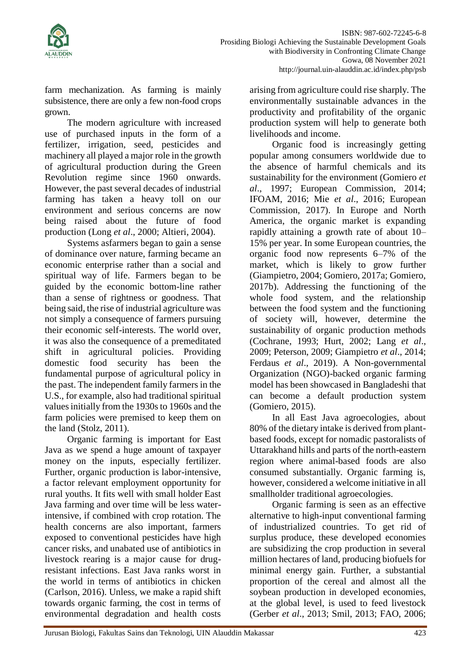

farm mechanization. As farming is mainly subsistence, there are only a few non-food crops grown.

The modern agriculture with increased use of purchased inputs in the form of a fertilizer, irrigation, seed, pesticides and machinery all played a major role in the growth of agricultural production during the Green Revolution regime since 1960 onwards. However, the past several decades of industrial farming has taken a heavy toll on our environment and serious concerns are now being raised about the future of food production (Long *et al*., 2000; Altieri, 2004).

Systems asfarmers began to gain a sense of dominance over nature, farming became an economic enterprise rather than a social and spiritual way of life. Farmers began to be guided by the economic bottom-line rather than a sense of rightness or goodness. That being said, the rise of industrial agriculture was not simply a consequence of farmers pursuing their economic self-interests. The world over, it was also the consequence of a premeditated shift in agricultural policies. Providing domestic food security has been the fundamental purpose of agricultural policy in the past. The independent family farmers in the U.S., for example, also had traditional spiritual values initially from the 1930s to 1960s and the farm policies were premised to keep them on the land (Stolz, 2011).

Organic farming is important for East Java as we spend a huge amount of taxpayer money on the inputs, especially fertilizer. Further, organic production is labor-intensive, a factor relevant employment opportunity for rural youths. It fits well with small holder East Java farming and over time will be less waterintensive, if combined with crop rotation. The health concerns are also important, farmers exposed to conventional pesticides have high cancer risks, and unabated use of antibiotics in livestock rearing is a major cause for drugresistant infections. East Java ranks worst in the world in terms of antibiotics in chicken (Carlson, 2016). Unless, we make a rapid shift towards organic farming, the cost in terms of environmental degradation and health costs

arising from agriculture could rise sharply. The environmentally sustainable advances in the productivity and profitability of the organic production system will help to generate both livelihoods and income.

Organic food is increasingly getting popular among consumers worldwide due to the absence of harmful chemicals and its sustainability for the environment (Gomiero *et al*., 1997; European Commission, 2014; IFOAM, 2016; Mie *et al*., 2016; European Commission, 2017). In Europe and North America, the organic market is expanding rapidly attaining a growth rate of about 10– 15% per year. In some European countries, the organic food now represents 6–7% of the market, which is likely to grow further (Giampietro, 2004; Gomiero, 2017a; Gomiero, 2017b). Addressing the functioning of the whole food system, and the relationship between the food system and the functioning of society will, however, determine the sustainability of organic production methods (Cochrane, 1993; Hurt, 2002; Lang *et al*., 2009; Peterson, 2009; Giampietro *et al*., 2014; Ferdaus *et al*., 2019). A Non-governmental Organization (NGO)-backed organic farming model has been showcased in Bangladeshi that can become a default production system (Gomiero, 2015).

In all East Java agroecologies, about 80% of the dietary intake is derived from plantbased foods, except for nomadic pastoralists of Uttarakhand hills and parts of the north-eastern region where animal-based foods are also consumed substantially. Organic farming is, however, considered a welcome initiative in all smallholder traditional agroecologies.

Organic farming is seen as an effective alternative to high-input conventional farming of industrialized countries. To get rid of surplus produce, these developed economies are subsidizing the crop production in several million hectares of land, producing biofuels for minimal energy gain. Further, a substantial proportion of the cereal and almost all the soybean production in developed economies, at the global level, is used to feed livestock (Gerber *et al*., 2013; Smil, 2013; FAO, 2006;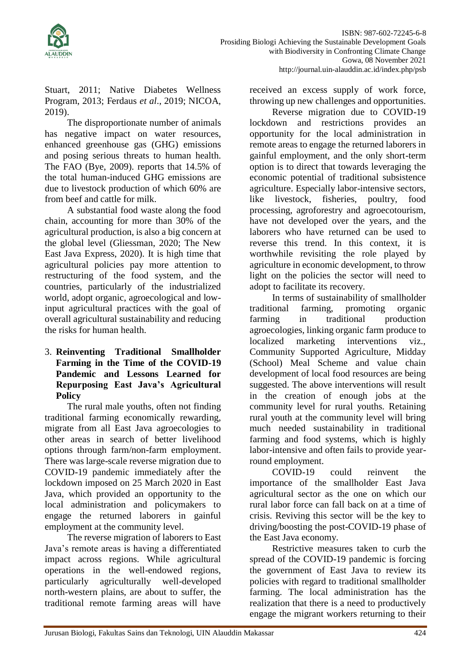

Stuart, 2011; Native Diabetes Wellness Program, 2013; Ferdaus *et al*., 2019; NICOA, 2019).

The disproportionate number of animals has negative impact on water resources, enhanced greenhouse gas (GHG) emissions and posing serious threats to human health. The FAO (Bye, 2009). reports that 14.5% of the total human-induced GHG emissions are due to livestock production of which 60% are from beef and cattle for milk.

A substantial food waste along the food chain, accounting for more than 30% of the agricultural production, is also a big concern at the global level (Gliessman, 2020; The New East Java Express, 2020). It is high time that agricultural policies pay more attention to restructuring of the food system, and the countries, particularly of the industrialized world, adopt organic, agroecological and lowinput agricultural practices with the goal of overall agricultural sustainability and reducing the risks for human health.

### 3. **Reinventing Traditional Smallholder Farming in the Time of the COVID-19 Pandemic and Lessons Learned for Repurposing East Java's Agricultural Policy**

The rural male youths, often not finding traditional farming economically rewarding, migrate from all East Java agroecologies to other areas in search of better livelihood options through farm/non-farm employment. There was large-scale reverse migration due to COVID-19 pandemic immediately after the lockdown imposed on 25 March 2020 in East Java, which provided an opportunity to the local administration and policymakers to engage the returned laborers in gainful employment at the community level.

The reverse migration of laborers to East Java's remote areas is having a differentiated impact across regions. While agricultural operations in the well-endowed regions, particularly agriculturally well-developed north-western plains, are about to suffer, the traditional remote farming areas will have

received an excess supply of work force, throwing up new challenges and opportunities.

Reverse migration due to COVID-19 lockdown and restrictions provides an opportunity for the local administration in remote areas to engage the returned laborers in gainful employment, and the only short-term option is to direct that towards leveraging the economic potential of traditional subsistence agriculture. Especially labor-intensive sectors, like livestock, fisheries, poultry, food processing, agroforestry and agroecotourism, have not developed over the years, and the laborers who have returned can be used to reverse this trend. In this context, it is worthwhile revisiting the role played by agriculture in economic development, to throw light on the policies the sector will need to adopt to facilitate its recovery.

In terms of sustainability of smallholder traditional farming, promoting organic farming in traditional production agroecologies, linking organic farm produce to localized marketing interventions viz., Community Supported Agriculture, Midday (School) Meal Scheme and value chain development of local food resources are being suggested. The above interventions will result in the creation of enough jobs at the community level for rural youths. Retaining rural youth at the community level will bring much needed sustainability in traditional farming and food systems, which is highly labor-intensive and often fails to provide yearround employment.

COVID-19 could reinvent the importance of the smallholder East Java agricultural sector as the one on which our rural labor force can fall back on at a time of crisis. Reviving this sector will be the key to driving/boosting the post-COVID-19 phase of the East Java economy.

Restrictive measures taken to curb the spread of the COVID-19 pandemic is forcing the government of East Java to review its policies with regard to traditional smallholder farming. The local administration has the realization that there is a need to productively engage the migrant workers returning to their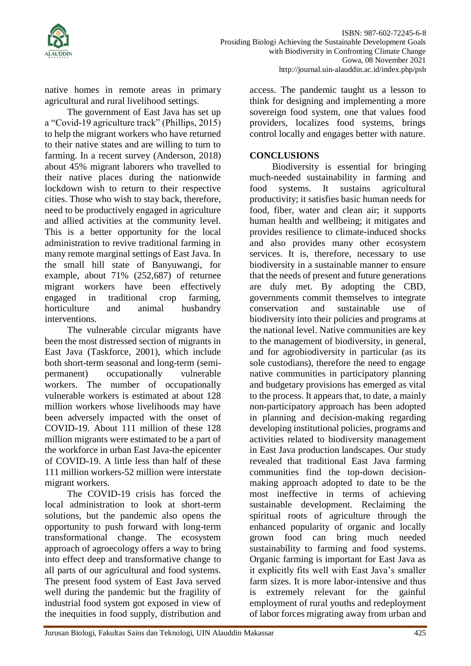

native homes in remote areas in primary agricultural and rural livelihood settings.

The government of East Java has set up a "Covid-19 agriculture track" (Phillips, 2015) to help the migrant workers who have returned to their native states and are willing to turn to farming. In a recent survey (Anderson, 2018) about 45% migrant laborers who travelled to their native places during the nationwide lockdown wish to return to their respective cities. Those who wish to stay back, therefore, need to be productively engaged in agriculture and allied activities at the community level. This is a better opportunity for the local administration to revive traditional farming in many remote marginal settings of East Java. In the small hill state of Banyuwangi, for example, about 71% (252,687) of returnee migrant workers have been effectively engaged in traditional crop farming, horticulture and animal husbandry interventions.

The vulnerable circular migrants have been the most distressed section of migrants in East Java (Taskforce, 2001), which include both short-term seasonal and long-term (semipermanent) occupationally vulnerable workers. The number of occupationally vulnerable workers is estimated at about 128 million workers whose livelihoods may have been adversely impacted with the onset of COVID-19. About 111 million of these 128 million migrants were estimated to be a part of the workforce in urban East Java-the epicenter of COVID-19. A little less than half of these 111 million workers-52 million were interstate migrant workers.

The COVID-19 crisis has forced the local administration to look at short-term solutions, but the pandemic also opens the opportunity to push forward with long-term transformational change. The ecosystem approach of agroecology offers a way to bring into effect deep and transformative change to all parts of our agricultural and food systems. The present food system of East Java served well during the pandemic but the fragility of industrial food system got exposed in view of the inequities in food supply, distribution and

access. The pandemic taught us a lesson to think for designing and implementing a more sovereign food system, one that values food providers, localizes food systems, brings control locally and engages better with nature.

#### **CONCLUSIONS**

Biodiversity is essential for bringing much-needed sustainability in farming and food systems. It sustains agricultural productivity; it satisfies basic human needs for food, fiber, water and clean air; it supports human health and wellbeing; it mitigates and provides resilience to climate-induced shocks and also provides many other ecosystem services. It is, therefore, necessary to use biodiversity in a sustainable manner to ensure that the needs of present and future generations are duly met. By adopting the CBD, governments commit themselves to integrate conservation and sustainable use of biodiversity into their policies and programs at the national level. Native communities are key to the management of biodiversity, in general, and for agrobiodiversity in particular (as its sole custodians), therefore the need to engage native communities in participatory planning and budgetary provisions has emerged as vital to the process. It appears that, to date, a mainly non-participatory approach has been adopted in planning and decision-making regarding developing institutional policies, programs and activities related to biodiversity management in East Java production landscapes. Our study revealed that traditional East Java farming communities find the top-down decisionmaking approach adopted to date to be the most ineffective in terms of achieving sustainable development. Reclaiming the spiritual roots of agriculture through the enhanced popularity of organic and locally grown food can bring much needed sustainability to farming and food systems. Organic farming is important for East Java as it explicitly fits well with East Java's smaller farm sizes. It is more labor-intensive and thus is extremely relevant for the gainful employment of rural youths and redeployment of labor forces migrating away from urban and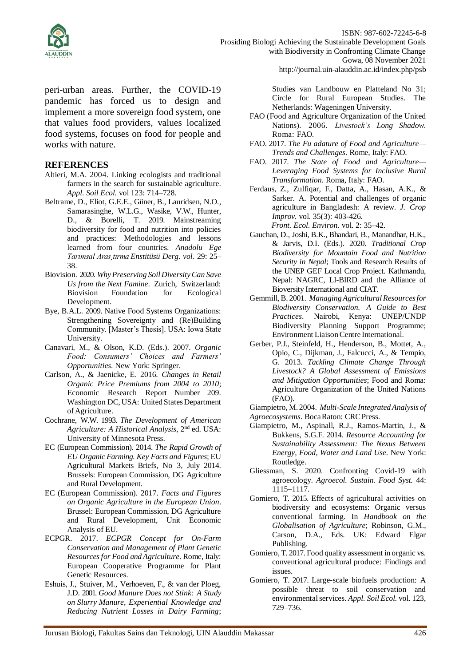

ISBN: 987-602-72245-6-8 Prosiding Biologi Achieving the Sustainable Development Goals with Biodiversity in Confronting Climate Change Gowa, 08 November 2021

http://journal.uin-alauddin.ac.id/index.php/psb

peri-urban areas. Further, the COVID-19 pandemic has forced us to design and implement a more sovereign food system, one that values food providers, values localized food systems, focuses on food for people and works with nature.

#### **REFERENCES**

- Altieri, M.A. 2004. Linking ecologists and traditional farmers in the search for sustainable agriculture. *Appl. Soil Ecol.* vol 123: 714–728.
- Beltrame, D., Eliot, G.E.E., Güner, B., Lauridsen, N.O., Samarasinghe, W.L.G., Wasike, V.W., Hunter, D., & Borelli, T. 2019. Mainstreaming biodiversity for food and nutrition into policies and practices: Methodologies and lessons learned from four countries. *Anadolu Ege Tarımsal Aras¸tırma Enstitüsü Derg. vol.* 29: 25– 38.
- Biovision. 2020. *WhyPreserving Soil DiversityCan Save Us from the Next Famine*. Zurich, Switzerland: Biovision Foundation for Ecological Development.
- Bye, B.A.L. 2009. Native Food Systems Organizations: Strengthening Sovereignty and (Re)Building Community. [Master's Thesis]. USA: Iowa State University.
- Canavari, M., & Olson, K.D. (Eds.). 2007. *Organic Food: Consumers' Choices and Farmers' Opportunities*. New York: Springer.
- Carlson, A., & Jaenicke, E. 2016. *Changes in Retail Organic Price Premiums from 2004 to 2010*; Economic Research Report Number 209. Washington DC, USA: United States Department ofAgriculture.
- Cochrane, W.W. 1993. *The Development of American Agriculture: A Historical Analysis*, 2nd ed. USA: University of Minnesota Press.
- EC (European Commission). 2014. *The Rapid Growth of EU Organic Farming. Key Facts and Figures*; EU Agricultural Markets Briefs, No 3, July 2014. Brussels: European Commission, DG Agriculture and Rural Development.
- EC (European Commission). 2017. *Facts and Figures on Organic Agriculture in the European Union*. Brussel: European Commission, DG Agriculture and Rural Development, Unit Economic Analysis of EU.
- ECPGR. 2017. *ECPGR Concept for On-Farm Conservation and Management of Plant Genetic Resources for Food and Agriculture*. Rome, Italy: European Cooperative Programme for Plant Genetic Resources.
- Eshuis, J., Stuiver, M., Verhoeven, F., & van der Ploeg, J.D. 2001. *Good Manure Does not Stink: A Study on Slurry Manure, Experiential Knowledge and Reducing Nutrient Losses in Dairy Farming*;

Studies van Landbouw en Platteland No 31; Circle for Rural European Studies. The Netherlands: Wageningen University.

- FAO (Food and Agriculture Organization of the United Nations). 2006. *Livestock's Long Shadow*. Roma: FAO.
- FAO. 2017. *The Fu adature of Food and Agriculture— Trends and Challenges*. Rome, Italy: FAO.
- FAO. 2017. *The State of Food and Agriculture— Leveraging Food Systems for Inclusive Rural Transformation*. Roma, Italy: FAO.
- Ferdaus, Z., Zulfiqar, F., Datta, A., Hasan, A.K., & Sarker. A. Potential and challenges of organic agriculture in Bangladesh: A review. *J. Crop Improv.* vol. 35(3): 403-426. *Front. Ecol. Environ.* vol. 2: 35–42.
- Gauchan, D., Joshi, B.K., Bhandari, B., Manandhar, H.K., & Jarvis, D.I. (Eds.). 2020. *Traditional Crop Biodiversity for Mountain Food and Nutrition Security in Nepal*; Tools and Research Results of the UNEP GEF Local Crop Project. Kathmandu, Nepal: NAGRC, LI-BIRD and the Alliance of Bioversity International and CIAT.
- Gemmill, B. 2001. *ManagingAgriculturalResourcesfor Biodiversity Conservation. A Guide to Best Practices*. Nairobi, Kenya: UNEP/UNDP Biodiversity Planning Support Programme; Environment LiaisonCentre International.
- Gerber, P.J., Steinfeld, H., Henderson, B., Mottet, A., Opio, C., Dijkman, J., Falcucci, A., & Tempio, G. 2013. *Tackling Climate Change Through Livestock? A Global Assessment of Emissions and Mitigation Opportunities*; Food and Roma: Agriculture Organization of the United Nations (FAO).

Giampietro, M. 2004. *Multi-Scale IntegratedAnalysis of Agroecosystems*. BocaRaton: CRCPress.

- Giampietro, M., Aspinall, R.J., Ramos-Martin, J., & Bukkens, S.G.F. 2014. *Resource Accounting for Sustainability Assessment: The Nexus Between Energy, Food, Water and Land Use*. New York: Routledge.
- Gliessman, S. 2020. Confronting Covid-19 with agroecology. *Agroecol. Sustain. Food Syst.* 44: 1115–1117.
- Gomiero, T. 2015. Effects of agricultural activities on biodiversity and ecosystems: Organic versus conventional farming. In *Handbook on the Globalisation of Agriculture*; Robinson, G.M., Carson, D.A., Eds. UK: Edward Elgar Publishing.
- Gomiero, T. 2017. Food quality assessment in organic vs. conventional agricultural produce: Findings and issues.
- Gomiero, T. 2017. Large-scale biofuels production: A possible threat to soil conservation and environmental services. *Appl. Soil Ecol.* vol. 123, 729–736.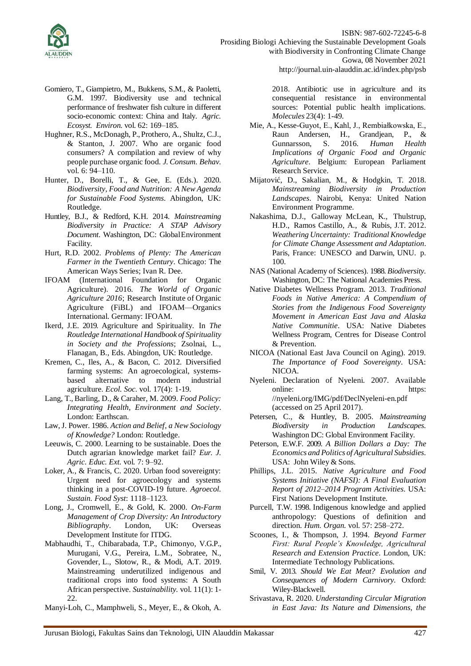

ISBN: 987-602-72245-6-8 Prosiding Biologi Achieving the Sustainable Development Goals with Biodiversity in Confronting Climate Change Gowa, 08 November 2021 http://journal.uin-alauddin.ac.id/index.php/psb

Gomiero, T., Giampietro, M., Bukkens, S.M., & Paoletti, G.M. 1997. Biodiversity use and technical performance of freshwater fish culture in different socio-economic context: China and Italy. *Agric. Ecosyst. Environ.* vol. 62: 169–185.

- Hughner, R.S., McDonagh, P., Prothero, A., Shultz, C.J., & Stanton, J. 2007. Who are organic food consumers? A compilation and review of why people purchase organic food. *J. Consum. Behav.*  vol. 6: 94–110.
- Hunter, D., Borelli, T., & Gee, E. (Eds.). 2020. *Biodiversity, Food and Nutrition: A New Agenda for Sustainable Food Systems*. Abingdon, UK: Routledge.
- Huntley, B.J., & Redford, K.H. 2014. *Mainstreaming Biodiversity in Practice: A STAP Advisory Document*. Washington, DC: GlobalEnvironment Facility.
- Hurt, R.D. 2002. *Problems of Plenty: The American Farmer in the Twentieth Century*. Chicago: The American Ways Series; Ivan R. Dee.
- IFOAM (International Foundation for Organic Agriculture). 2016. *The World of Organic Agriculture 2016*; Research Institute of Organic Agriculture (FiBL) and IFOAM—Organics International. Germany: IFOAM.
- Ikerd, J.E. 2019. Agriculture and Spirituality. In *The Routledge International Handbook of Spirituality in Society and the Professions*; Zsolnai, L., Flanagan, B., Eds. Abingdon, UK: Routledge.
- Kremen, C., Iles, A., & Bacon, C. 2012. Diversified farming systems: An agroecological, systemsbased alternative to modern industrial agriculture. *Ecol. Soc.* vol. 17(4): 1-19.
- Lang, T., Barling, D., & Caraher, M. 2009. *Food Policy: Integrating Health, Environment and Society*. London: Earthscan.
- Law, J. Power. 1986. *Action and Belief, a New Sociology of Knowledge?* London: Routledge.
- Leeuwis, C. 2000. Learning to be sustainable. Does the Dutch agrarian knowledge market fail? *Eur. J. Agric. Educ. Ext.* vol*.* 7: 9–92.
- Loker, A., & Francis, C. 2020. Urban food sovereignty: Urgent need for agroecology and systems thinking in a post-COVID-19 future. *Agroecol. Sustain. Food Syst*: 1118–1123.
- Long, J., Cromwell, E., & Gold, K. 2000. *On-Farm Management of Crop Diversity: An Introductory Bibliography*. London, UK: Overseas Development Institute for ITDG.
- Mabhaudhi, T., Chibarabada, T.P., Chimonyo, V.G.P., Murugani, V.G., Pereira, L.M., Sobratee, N., Govender, L., Slotow, R., & Modi, A.T. 2019. Mainstreaming underutilized indigenous and traditional crops into food systems: A South African perspective. *Sustainability.* vol. 11(1): 1- 22.
- Manyi-Loh, C., Mamphweli, S., Meyer, E., & Okoh, A.

2018. Antibiotic use in agriculture and its consequential resistance in environmental sources: Potential public health implications. *Molecules* 23(4): 1-49.

- Mie, A., Kesse-Guyot, E., Kahl, J., Rembiałkowska, E., Raun Andersen, H., Grandjean, P., & Gunnarsson, S. 2016. *Human Health Implications of Organic Food and Organic Agriculture*. Belgium: European Parliament Research Service.
- Mijatovic´, D., Sakalian, M., & Hodgkin, T. 2018. *Mainstreaming Biodiversity in Production Landscapes*. Nairobi, Kenya: United Nation Environment Programme.
- Nakashima, D.J., Galloway McLean, K., Thulstrup, H.D., Ramos Castillo, A., & Rubis, J.T. 2012. *Weathering Uncertainty: Traditional Knowledge for Climate Change Assessment and Adaptation*. Paris, France: UNESCO and Darwin, UNU. p. 100.
- NAS (National Academy of Sciences). 1988. *Biodiversity*. Washington, DC: The National Academies Press.
- Native Diabetes Wellness Program. 2013. *Traditional Foods in Native America: A Compendium of Stories from the Indigenous Food Sovereignty Movement in American East Java and Alaska Native Communitie*. USA: Native Diabetes Wellness Program, Centres for Disease Control & Prevention.
- NICOA (National East Java Council on Aging). 2019. *The Importance of Food Sovereignty*. USA: NICOA.
- Nyeleni. Declaration of Nyeleni. 2007. Available online: https: //nyeleni.org/IMG/pdf/DeclNyeleni-en.pdf (accessed on 25 April 2017).
- Petersen, C., & Huntley, B. 2005. *Mainstreaming Biodiversity in Production Landscapes*. Washington DC: Global Environment Facility.
- Peterson, E.W.F. 2009. *A Billion Dollars a Day: The Economics and Politics of Agricultural Subsidies*. USA: John Wiley & Sons.
- Phillips, J.L. 2015. *Native Agriculture and Food Systems Initiative (NAFSI): A Final Evaluation Report of 2012–2014 Program Activities*. USA: First Nations Development Institute.
- Purcell, T.W. 1998. Indigenous knowledge and applied anthropology: Questions of definition and direction. *Hum. Organ.* vol. 57: 258–272.
- Scoones, I., & Thompson, J. 1994. *Beyond Farmer First: Rural People's Knowledge, Agricultural Research and Extension Practice*. London, UK: Intermediate Technology Publications.
- Smil, V. 2013. *Should We Eat Meat? Evolution and Consequences of Modern Carnivory*. Oxford: Wiley-Blackwell.
- Srivastava, R. 2020. *Understanding Circular Migration in East Java: Its Nature and Dimensions, the*